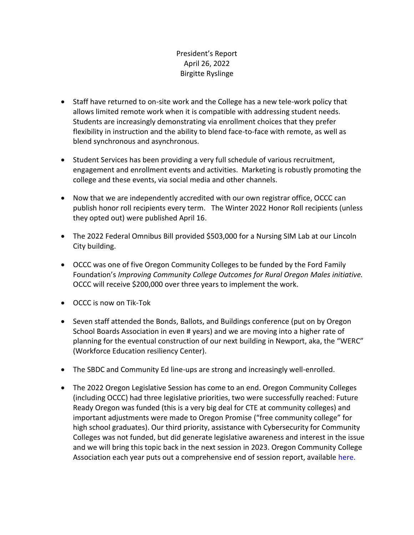## President's Report April 26, 2022 Birgitte Ryslinge

- Staff have returned to on-site work and the College has a new tele-work policy that allows limited remote work when it is compatible with addressing student needs. Students are increasingly demonstrating via enrollment choices that they prefer flexibility in instruction and the ability to blend face-to-face with remote, as well as blend synchronous and asynchronous.
- Student Services has been providing a very full schedule of various recruitment, engagement and enrollment events and activities. Marketing is robustly promoting the college and these events, via social media and other channels.
- Now that we are independently accredited with our own registrar office, OCCC can publish honor roll recipients every term. The Winter 2022 Honor Roll recipients (unless they opted out) were published April 16.
- The 2022 Federal Omnibus Bill provided \$503,000 for a Nursing SIM Lab at our Lincoln City building.
- OCCC was one of five Oregon Community Colleges to be funded by the Ford Family Foundation's *Improving Community College Outcomes for Rural Oregon Males initiative.*  OCCC will receive \$200,000 over three years to implement the work.
- OCCC is now on Tik-Tok
- Seven staff attended the Bonds, Ballots, and Buildings conference (put on by Oregon School Boards Association in even # years) and we are moving into a higher rate of planning for the eventual construction of our next building in Newport, aka, the "WERC" (Workforce Education resiliency Center).
- The SBDC and Community Ed line-ups are strong and increasingly well-enrolled.
- The 2022 Oregon Legislative Session has come to an end. Oregon Community Colleges (including OCCC) had three legislative priorities, two were successfully reached: Future Ready Oregon was funded (this is a very big deal for CTE at community colleges) and important adjustments were made to Oregon Promise ("free community college" for high school graduates). Our third priority, assistance with Cybersecurity for Community Colleges was not funded, but did generate legislative awareness and interest in the issue and we will bring this topic back in the next session in 2023. Oregon Community College Association each year puts out a comprehensive end of session report, available here.